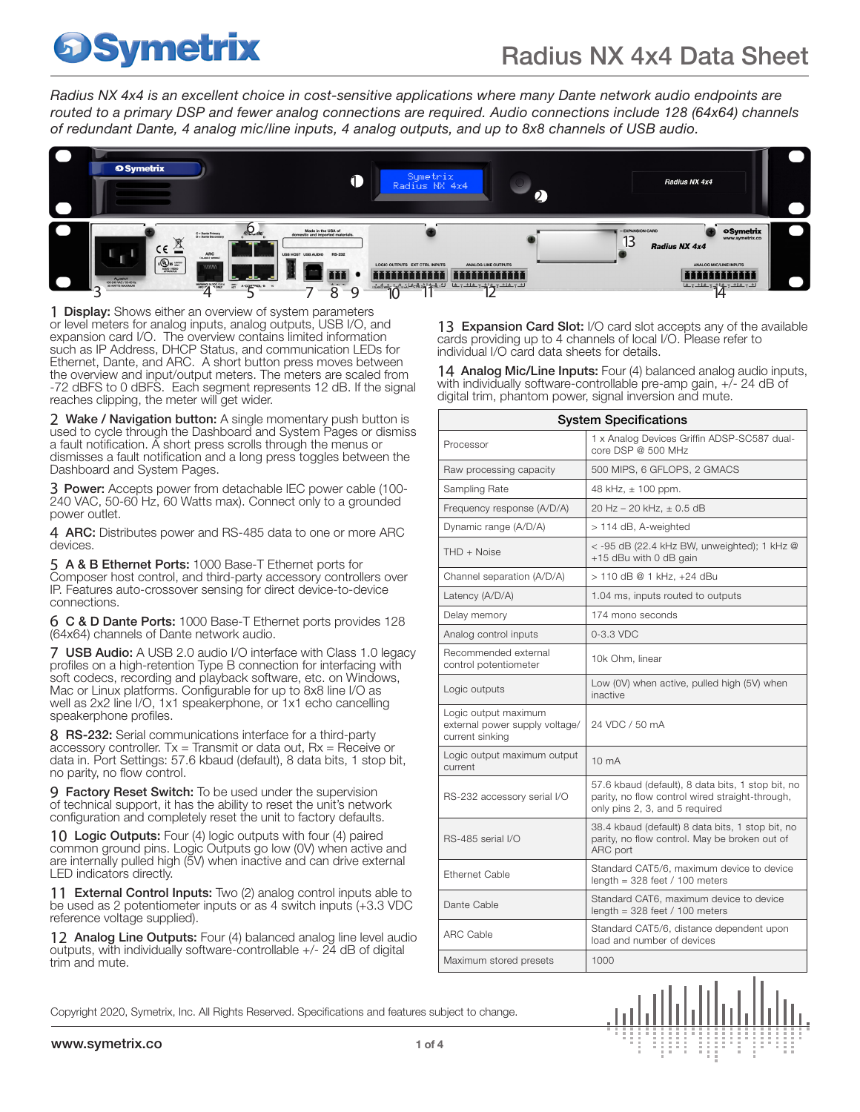*Radius NX 4x4 is an excellent choice in cost-sensitive applications where many Dante network audio endpoints are routed to a primary DSP and fewer analog connections are required. Audio connections include 128 (64x64) channels of redundant Dante, 4 analog mic/line inputs, 4 analog outputs, and up to 8x8 channels of USB audio.*



**1 Display:** Shows either an overview of system parameters or level meters for analog inputs, analog outputs, USB I/O, and expansion card I/O. The overview contains limited information such as IP Address, DHCP Status, and communication LEDs for Ethernet, Dante, and ARC. A short button press moves between the overview and input/output meters. The meters are scaled from -72 dBFS to 0 dBFS. Each segment represents 12 dB. If the signal reaches clipping, the meter will get wider.

2 Wake / Navigation button: A single momentary push button is used to cycle through the Dashboard and System Pages or dismiss a fault notification. A short press scrolls through the menus or dismisses a fault notification and a long press toggles between the Dashboard and System Pages.

**3 Power:** Accepts power from detachable IEC power cable (100-240 VAC, 50-60 Hz, 60 Watts max). Connect only to a grounded power outlet.

4 ARC: Distributes power and RS-485 data to one or more ARC devices.

5 A & B Ethernet Ports: 1000 Base-T Ethernet ports for Composer host control, and third-party accessory controllers over IP. Features auto-crossover sensing for direct device-to-device connections.

6 C & D Dante Ports: 1000 Base-T Ethernet ports provides 128 (64x64) channels of Dante network audio.

7 USB Audio: A USB 2.0 audio I/O interface with Class 1.0 legacy profiles on a high-retention Type B connection for interfacing with soft codecs, recording and playback software, etc. on Windows, Mac or Linux platforms. Configurable for up to 8x8 line I/O as well as 2x2 line I/O, 1x1 speakerphone, or 1x1 echo cancelling speakerphone profiles.

8 RS-232: Serial communications interface for a third-party accessory controller.  $Tx =$  Transmit or data out,  $Rx =$  Receive or data in. Port Settings: 57.6 kbaud (default), 8 data bits, 1 stop bit, no parity, no flow control.

9 Factory Reset Switch: To be used under the supervision of technical support, it has the ability to reset the unit's network configuration and completely reset the unit to factory defaults.

10 Logic Outputs: Four (4) logic outputs with four (4) paired common ground pins. Logic Outputs go low (0V) when active and are internally pulled high (5V) when inactive and can drive external LED indicators directly.

11 External Control Inputs: Two (2) analog control inputs able to be used as 2 potentiometer inputs or as 4 switch inputs (+3.3 VDC reference voltage supplied).

12 Analog Line Outputs: Four (4) balanced analog line level audio outputs, with individually software-controllable +/- 24 dB of digital trim and mute.

13 Expansion Card Slot: I/O card slot accepts any of the available cards providing up to 4 channels of local I/O. Please refer to individual I/O card data sheets for details.

14 Analog Mic/Line Inputs: Four (4) balanced analog audio inputs, with individually software-controllable pre-amp gain,  $+\bar{7}$ - 24 dB of digital trim, phantom power, signal inversion and mute.

| <b>System Specifications</b>                                              |                                                                                                                                        |
|---------------------------------------------------------------------------|----------------------------------------------------------------------------------------------------------------------------------------|
| Processor                                                                 | 1 x Analog Devices Griffin ADSP-SC587 dual-<br>core DSP @ 500 MHz                                                                      |
| Raw processing capacity                                                   | 500 MIPS, 6 GFLOPS, 2 GMACS                                                                                                            |
| Sampling Rate                                                             | 48 kHz, $\pm$ 100 ppm.                                                                                                                 |
| Frequency response (A/D/A)                                                | 20 Hz - 20 kHz, ± 0.5 dB                                                                                                               |
| Dynamic range (A/D/A)                                                     | > 114 dB, A-weighted                                                                                                                   |
| $THD + Noise$                                                             | < -95 dB (22.4 kHz BW, unweighted); 1 kHz @<br>+15 dBu with 0 dB gain                                                                  |
| Channel separation (A/D/A)                                                | > 110 dB @ 1 kHz, +24 dBu                                                                                                              |
| Latency (A/D/A)                                                           | 1.04 ms, inputs routed to outputs                                                                                                      |
| Delay memory                                                              | 174 mono seconds                                                                                                                       |
| Analog control inputs                                                     | $0-3.3$ VDC                                                                                                                            |
| Recommended external<br>control potentiometer                             | 10k Ohm. linear                                                                                                                        |
| Logic outputs                                                             | Low (0V) when active, pulled high (5V) when<br>inactive                                                                                |
| Logic output maximum<br>external power supply voltage/<br>current sinking | 24 VDC / 50 mA                                                                                                                         |
| Logic output maximum output<br>current                                    | 10 <sub>m</sub> A                                                                                                                      |
| RS-232 accessory serial I/O                                               | 57.6 kbaud (default), 8 data bits, 1 stop bit, no<br>parity, no flow control wired straight-through,<br>only pins 2, 3, and 5 required |
| RS-485 serial I/O                                                         | 38.4 kbaud (default) 8 data bits, 1 stop bit, no<br>parity, no flow control. May be broken out of<br>ARC port                          |
| <b>Ethernet Cable</b>                                                     | Standard CAT5/6, maximum device to device<br>length = $328$ feet / 100 meters                                                          |
| Dante Cable                                                               | Standard CAT6, maximum device to device<br>length = 328 feet / 100 meters                                                              |
| <b>ARC Cable</b>                                                          | Standard CAT5/6, distance dependent upon<br>load and number of devices                                                                 |
| Maximum stored presets                                                    | 1000                                                                                                                                   |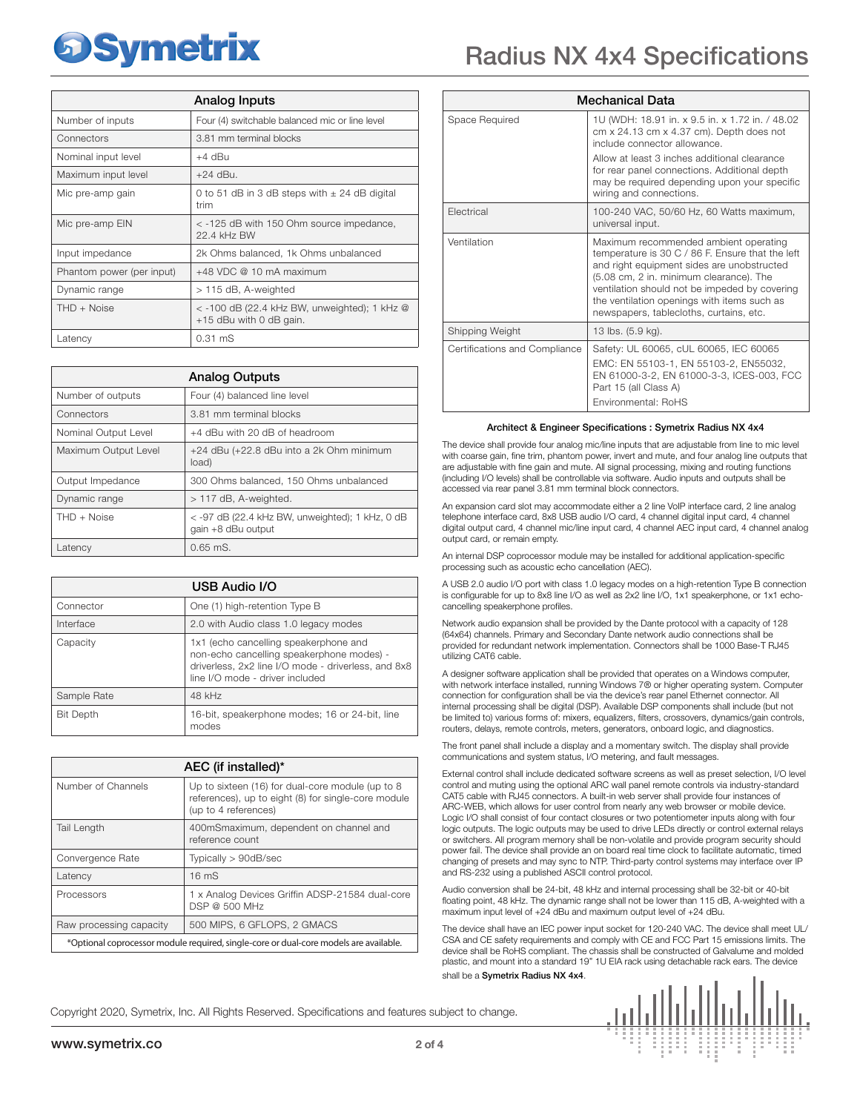|                           | Analog Inputs                                                               |
|---------------------------|-----------------------------------------------------------------------------|
| Number of inputs          | Four (4) switchable balanced mic or line level                              |
| Connectors                | 3.81 mm terminal blocks                                                     |
| Nominal input level       | +4 dBu                                                                      |
| Maximum input level       | $+24$ dBu.                                                                  |
| Mic pre-amp gain          | 0 to 51 dB in 3 dB steps with $\pm$ 24 dB digital<br>trim                   |
| Mic pre-amp EIN           | < -125 dB with 150 Ohm source impedance,<br>22 4 kHz RW                     |
| Input impedance           | 2k Ohms balanced, 1k Ohms unbalanced                                        |
| Phantom power (per input) | $+48$ VDC @ 10 mA maximum                                                   |
| Dynamic range             | > 115 dB, A-weighted                                                        |
| $THD + Noise$             | $<$ -100 dB (22.4 kHz BW, unweighted); 1 kHz $@$<br>+15 dBu with 0 dB gain. |
| Latency                   | $0.31$ mS                                                                   |

| <b>Analog Outputs</b> |                                                                       |
|-----------------------|-----------------------------------------------------------------------|
| Number of outputs     | Four (4) balanced line level                                          |
| Connectors            | 3.81 mm terminal blocks                                               |
| Nominal Output Level  | +4 dBu with 20 dB of headroom                                         |
| Maximum Output Level  | +24 dBu (+22.8 dBu into a 2k Ohm minimum<br>load)                     |
| Output Impedance      | 300 Ohms balanced, 150 Ohms unbalanced                                |
| Dynamic range         | $>$ 117 dB, A-weighted.                                               |
| $THD + Noise$         | < -97 dB (22.4 kHz BW, unweighted); 1 kHz, 0 dB<br>gain +8 dBu output |
| Latency               | $0.65$ mS.                                                            |

| USB Audio I/O    |                                                                                                                                                                              |
|------------------|------------------------------------------------------------------------------------------------------------------------------------------------------------------------------|
| Connector        | One (1) high-retention Type B                                                                                                                                                |
| Interface        | 2.0 with Audio class 1.0 legacy modes                                                                                                                                        |
| Capacity         | 1x1 (echo cancelling speakerphone and<br>non-echo cancelling speakerphone modes) -<br>driverless, 2x2 line I/O mode - driverless, and 8x8<br>line I/O mode - driver included |
| Sample Rate      | 48 kHz                                                                                                                                                                       |
| <b>Bit Depth</b> | 16-bit, speakerphone modes; 16 or 24-bit, line<br>modes                                                                                                                      |

| AEC (if installed)*                                                                   |                                                                                                                                 |
|---------------------------------------------------------------------------------------|---------------------------------------------------------------------------------------------------------------------------------|
| Number of Channels                                                                    | Up to sixteen (16) for dual-core module (up to 8<br>references), up to eight (8) for single-core module<br>(up to 4 references) |
| <b>Tail Length</b>                                                                    | 400mSmaximum, dependent on channel and<br>reference count                                                                       |
| Convergence Rate                                                                      | Typically > 90dB/sec                                                                                                            |
| Latency                                                                               | 16 <sub>ms</sub>                                                                                                                |
| Processors                                                                            | 1 x Analog Devices Griffin ADSP-21584 dual-core<br>DSP @ 500 MHz                                                                |
| Raw processing capacity                                                               | 500 MIPS, 6 GFLOPS, 2 GMACS                                                                                                     |
| *Optional coprocessor module required, single-core or dual-core models are available. |                                                                                                                                 |

|                        | <b>Radius NX 4x4 Specifications</b>                                                                                         |  |
|------------------------|-----------------------------------------------------------------------------------------------------------------------------|--|
| <b>Mechanical Data</b> |                                                                                                                             |  |
| Space Required         | 1U (WDH: 18.91 in. x 9.5 in. x 1.72 in. / 48.02<br>cm x 24.13 cm x 4.37 cm). Depth does not<br>include connector allowance. |  |
|                        | Allow at least 3 inches additional clearance<br>for rear nanel connections. Additional denth                                |  |

|                               | , mow at ioast o monos auditional oioaranoo<br>for rear panel connections. Additional depth<br>may be required depending upon your specific<br>wiring and connections.                                                                                                                                                        |
|-------------------------------|-------------------------------------------------------------------------------------------------------------------------------------------------------------------------------------------------------------------------------------------------------------------------------------------------------------------------------|
| Electrical                    | 100-240 VAC, 50/60 Hz, 60 Watts maximum,<br>universal input.                                                                                                                                                                                                                                                                  |
| Ventilation                   | Maximum recommended ambient operating<br>temperature is 30 C / 86 F. Ensure that the left<br>and right equipment sides are unobstructed<br>(5.08 cm, 2 in. minimum clearance). The<br>ventilation should not be impeded by covering<br>the ventilation openings with items such as<br>newspapers, tablecloths, curtains, etc. |
| Shipping Weight               | 13 lbs. (5.9 kg).                                                                                                                                                                                                                                                                                                             |
| Certifications and Compliance | Safety: UL 60065, cUL 60065, IEC 60065<br>EMC: EN 55103-1, EN 55103-2, EN55032,<br>EN 61000-3-2, EN 61000-3-3, ICES-003, FCC<br>Part 15 (all Class A)<br>Environmental: RoHS                                                                                                                                                  |

#### Architect & Engineer Specifications : Symetrix Radius NX 4x4

The device shall provide four analog mic/line inputs that are adjustable from line to mic level with coarse gain, fine trim, phantom power, invert and mute, and four analog line outputs that are adjustable with fine gain and mute. All signal processing, mixing and routing functions (including I/O levels) shall be controllable via software. Audio inputs and outputs shall be accessed via rear panel 3.81 mm terminal block connectors.

An expansion card slot may accommodate either a 2 line VoIP interface card, 2 line analog telephone interface card, 8x8 USB audio I/O card, 4 channel digital input card, 4 channel digital output card, 4 channel mic/line input card, 4 channel AEC input card, 4 channel analog output card, or remain empty.

An internal DSP coprocessor module may be installed for additional application-specific processing such as acoustic echo cancellation (AEC).

A USB 2.0 audio I/O port with class 1.0 legacy modes on a high-retention Type B connection is configurable for up to 8x8 line I/O as well as 2x2 line I/O, 1x1 speakerphone, or 1x1 echocancelling speakerphone profiles.

Network audio expansion shall be provided by the Dante protocol with a capacity of 128 (64x64) channels. Primary and Secondary Dante network audio connections shall be provided for redundant network implementation. Connectors shall be 1000 Base-T RJ45 utilizing CAT6 cable.

A designer software application shall be provided that operates on a Windows computer, with network interface installed, running Windows 7® or higher operating system. Computer connection for configuration shall be via the device's rear panel Ethernet connector. All internal processing shall be digital (DSP). Available DSP components shall include (but not be limited to) various forms of: mixers, equalizers, filters, crossovers, dynamics/gain controls, routers, delays, remote controls, meters, generators, onboard logic, and diagnostics.

The front panel shall include a display and a momentary switch. The display shall provide communications and system status, I/O metering, and fault messages.

External control shall include dedicated software screens as well as preset selection, I/O level control and muting using the optional ARC wall panel remote controls via industry-standard CAT5 cable with RJ45 connectors. A built-in web server shall provide four instances of ARC-WEB, which allows for user control from nearly any web browser or mobile device. Logic I/O shall consist of four contact closures or two potentiometer inputs along with four logic outputs. The logic outputs may be used to drive LEDs directly or control external relays or switchers. All program memory shall be non-volatile and provide program security should power fail. The device shall provide an on board real time clock to facilitate automatic, timed changing of presets and may sync to NTP. Third-party control systems may interface over IP and RS-232 using a published ASCII control protocol.

Audio conversion shall be 24-bit, 48 kHz and internal processing shall be 32-bit or 40-bit floating point, 48 kHz. The dynamic range shall not be lower than 115 dB, A-weighted with a maximum input level of +24 dBu and maximum output level of +24 dBu.

The device shall have an IEC power input socket for 120-240 VAC. The device shall meet UL/ CSA and CE safety requirements and comply with CE and FCC Part 15 emissions limits. The device shall be RoHS compliant. The chassis shall be constructed of Galvalume and molded plastic, and mount into a standard 19" 1U EIA rack using detachable rack ears. The device shall be a Symetrix Radius NX 4x4.

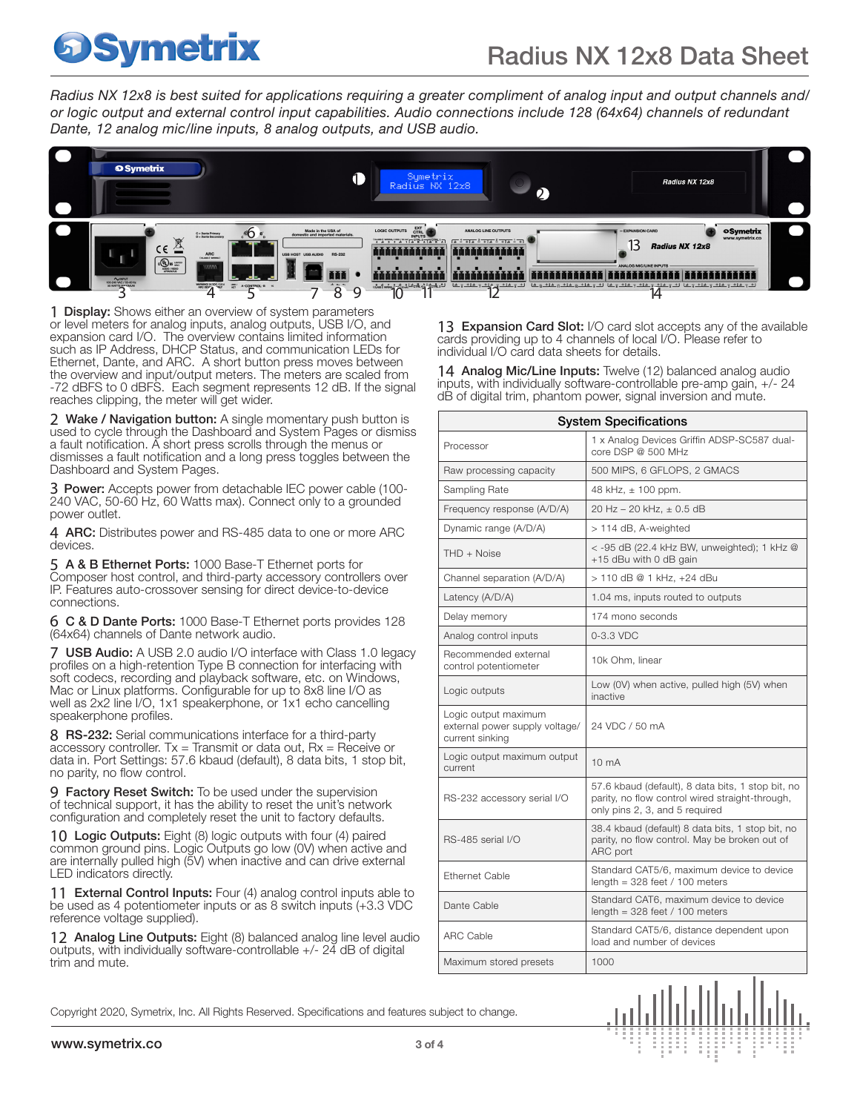*Radius NX 12x8 is best suited for applications requiring a greater compliment of analog input and output channels and/ or logic output and external control input capabilities. Audio connections include 128 (64x64) channels of redundant Dante, 12 analog mic/line inputs, 8 analog outputs, and USB audio.* 



**1 Display:** Shows either an overview of system parameters or level meters for analog inputs, analog outputs, USB I/O, and expansion card I/O. The overview contains limited information such as IP Address, DHCP Status, and communication LEDs for Ethernet, Dante, and ARC. A short button press moves between the overview and input/output meters. The meters are scaled from -72 dBFS to 0 dBFS. Each segment represents 12 dB. If the signal reaches clipping, the meter will get wider.

2 Wake / Navigation button: A single momentary push button is used to cycle through the Dashboard and System Pages or dismiss a fault notification. A short press scrolls through the menus or dismisses a fault notification and a long press toggles between the Dashboard and System Pages.

3 Power: Accepts power from detachable IEC power cable (100- 240 VAC, 50-60 Hz, 60 Watts max). Connect only to a grounded power outlet.

4 ARC: Distributes power and RS-485 data to one or more ARC devices.

5 A & B Ethernet Ports: 1000 Base-T Ethernet ports for Composer host control, and third-party accessory controllers over IP. Features auto-crossover sensing for direct device-to-device connections.

6 C & D Dante Ports: 1000 Base-T Ethernet ports provides 128 (64x64) channels of Dante network audio.

7 USB Audio: A USB 2.0 audio I/O interface with Class 1.0 legacy profiles on a high-retention Type B connection for interfacing with soft codecs, recording and playback software, etc. on Windows, Mac or Linux platforms. Configurable for up to 8x8 line I/O as well as 2x2 line I/O, 1x1 speakerphone, or 1x1 echo cancelling speakerphone profiles.

8 RS-232: Serial communications interface for a third-party accessory controller.  $Tx =$  Transmit or data out,  $Rx =$  Receive or data in. Port Settings: 57.6 kbaud (default), 8 data bits, 1 stop bit, no parity, no flow control.

9 Factory Reset Switch: To be used under the supervision of technical support, it has the ability to reset the unit's network configuration and completely reset the unit to factory defaults.

10 Logic Outputs: Eight (8) logic outputs with four (4) paired common ground pins. Logic Outputs go low (0V) when active and are internally pulled high (5V) when inactive and can drive external LED indicators directly.

11 External Control Inputs: Four (4) analog control inputs able to be used as 4 potentiometer inputs or as 8 switch inputs (+3.3 VDC reference voltage supplied).

12 Analog Line Outputs: Eight (8) balanced analog line level audio outputs, with individually software-controllable +/- 24 dB of digital trim and mute.

13 Expansion Card Slot: I/O card slot accepts any of the available cards providing up to 4 channels of local I/O. Please refer to individual I/O card data sheets for details.

14 Analog Mic/Line Inputs: Twelve (12) balanced analog audio inputs, with individually software-controllable pre-amp gain, +/- 24 dB of digital trim, phantom power, signal inversion and mute.

| <b>System Specifications</b>                                              |                                                                                                                                        |
|---------------------------------------------------------------------------|----------------------------------------------------------------------------------------------------------------------------------------|
| Processor                                                                 | 1 x Analog Devices Griffin ADSP-SC587 dual-<br>core DSP @ 500 MHz                                                                      |
| Raw processing capacity                                                   | 500 MIPS, 6 GFLOPS, 2 GMACS                                                                                                            |
| Sampling Rate                                                             | 48 kHz, $\pm$ 100 ppm.                                                                                                                 |
| Frequency response (A/D/A)                                                | 20 Hz - 20 kHz. ± 0.5 dB                                                                                                               |
| Dynamic range (A/D/A)                                                     | > 114 dB, A-weighted                                                                                                                   |
| $THD + Noise$                                                             | < -95 dB (22.4 kHz BW, unweighted); 1 kHz @<br>+15 dBu with 0 dB gain                                                                  |
| Channel separation (A/D/A)                                                | > 110 dB @ 1 kHz, +24 dBu                                                                                                              |
| Latency (A/D/A)                                                           | 1.04 ms, inputs routed to outputs                                                                                                      |
| Delay memory                                                              | 174 mono seconds                                                                                                                       |
| Analog control inputs                                                     | $0-3.3$ VDC                                                                                                                            |
| Recommended external<br>control potentiometer                             | 10k Ohm, linear                                                                                                                        |
| Logic outputs                                                             | Low (0V) when active, pulled high (5V) when<br>inactive                                                                                |
| Logic output maximum<br>external power supply voltage/<br>current sinking | 24 VDC / 50 mA                                                                                                                         |
| Logic output maximum output<br>current                                    | 10 <sub>m</sub> A                                                                                                                      |
| RS-232 accessory serial I/O                                               | 57.6 kbaud (default), 8 data bits, 1 stop bit, no<br>parity, no flow control wired straight-through,<br>only pins 2, 3, and 5 required |
| RS-485 serial I/O                                                         | 38.4 kbaud (default) 8 data bits, 1 stop bit, no<br>parity, no flow control. May be broken out of<br>ARC port                          |
| <b>Ethernet Cable</b>                                                     | Standard CAT5/6, maximum device to device<br>length = $328$ feet / 100 meters                                                          |
| Dante Cable                                                               | Standard CAT6, maximum device to device<br>length = 328 feet / 100 meters                                                              |
| <b>ARC Cable</b>                                                          | Standard CAT5/6, distance dependent upon<br>load and number of devices                                                                 |
| Maximum stored presets                                                    | 1000                                                                                                                                   |